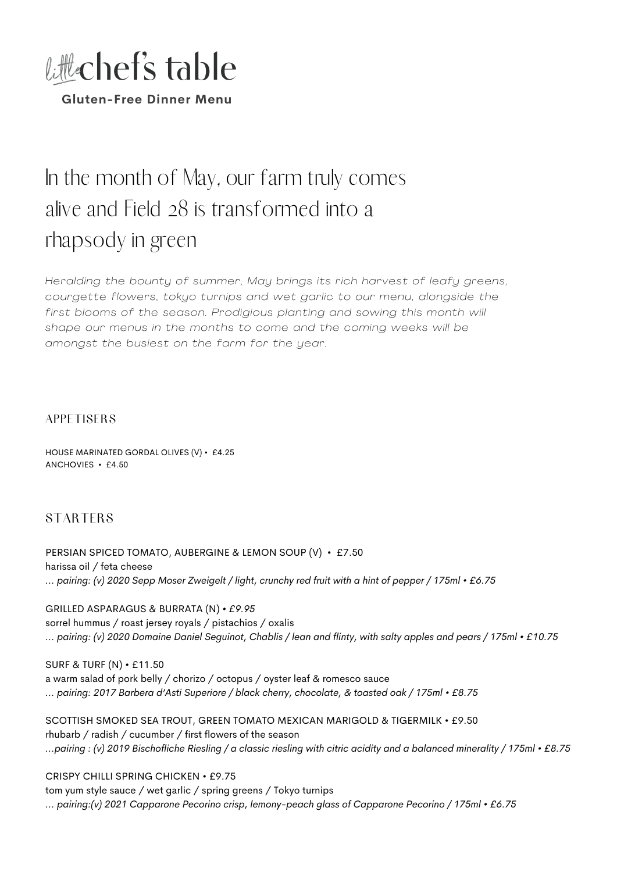

# In the month of May, our farm truly comes alive and Field 28 is transformed into a rhapsody in green

*Heralding the bounty of summer, May brings its rich harvest of leafy greens, courgette flowers, tokyo turnips and wet garl ic to our menu, alongside the first blooms of the season. Prodigious planting and sowing this month wi l l shape our menus in the months to come and the coming weeks wi l l be amongst the busiest on the farm for the year.*

#### **APPETISERS**

HOUSE MARINATED GORDAL OLIVES (V) • £4.25 ANCHOVIES • £4.50

## **STARTERS**

PERSIAN SPICED TOMATO, AUBERGINE & LEMON SOUP (V) • £7.50 harissa oil / feta cheese ... pairing: (v) 2020 Sepp Moser Zweigelt / light, crunchy red fruit with a hint of pepper / 175ml • £6.75

GRILLED ASPARAGUS & BURRATA (N) *• £9.95* sorrel hummus / roast jersey royals / pistachios / oxalis ... pairing: (v) 2020 Domaine Daniel Seguinot, Chablis / lean and flinty, with salty apples and pears / 175ml • £10.75

SURF & TURF (N) • £11.50 a warm salad of pork belly / chorizo / octopus / oyster leaf & romesco sauce *... pairing: 2017 Barbera d'Asti Superiore / black cherry, chocolate, & toasted oak / 175ml • £8.75*

SCOTTISH SMOKED SEA TROUT, GREEN TOMATO MEXICAN MARIGOLD & TIGERMILK • £9.50 rhubarb / radish / cucumber / first flowers of the season ...pairing: (v) 2019 Bischofliche Riesling / a classic riesling with citric acidity and a balanced minerality / 175ml • £8.75

CRISPY CHILLI SPRING CHICKEN • £9.75

tom yum style sauce / wet garlic / spring greens / Tokyo turnips *... pairing:(v) 2021 Capparone Pecorino crisp, lemony-peach glass of Capparone Pecorino / 175ml • £6.75*